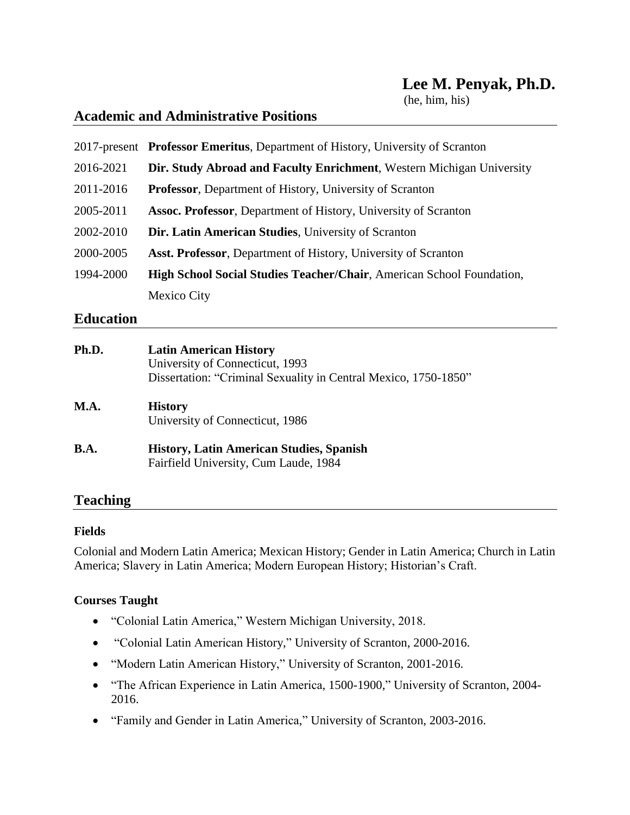(he, him, his)

## **Academic and Administrative Positions**

|           | 2017-present Professor Emeritus, Department of History, University of Scranton |
|-----------|--------------------------------------------------------------------------------|
| 2016-2021 | Dir. Study Abroad and Faculty Enrichment, Western Michigan University          |
| 2011-2016 | Professor, Department of History, University of Scranton                       |
| 2005-2011 | <b>Assoc. Professor</b> , Department of History, University of Scranton        |
| 2002-2010 | Dir. Latin American Studies, University of Scranton                            |
| 2000-2005 | <b>Asst. Professor</b> , Department of History, University of Scranton         |
| 1994-2000 | <b>High School Social Studies Teacher/Chair, American School Foundation,</b>   |
|           | Mexico City                                                                    |

### **Education**

| Ph.D.       | <b>Latin American History</b><br>University of Connecticut, 1993<br>Dissertation: "Criminal Sexuality in Central Mexico, 1750-1850" |
|-------------|-------------------------------------------------------------------------------------------------------------------------------------|
| <b>M.A.</b> | <b>History</b><br>University of Connecticut, 1986                                                                                   |
| <b>B.A.</b> | <b>History, Latin American Studies, Spanish</b><br>Fairfield University, Cum Laude, 1984                                            |

# **Teaching**

#### **Fields**

Colonial and Modern Latin America; Mexican History; Gender in Latin America; Church in Latin America; Slavery in Latin America; Modern European History; Historian's Craft.

#### **Courses Taught**

- "Colonial Latin America," Western Michigan University, 2018.
- "Colonial Latin American History," University of Scranton, 2000-2016.
- "Modern Latin American History," University of Scranton, 2001-2016.
- "The African Experience in Latin America, 1500-1900," University of Scranton, 2004- 2016.
- "Family and Gender in Latin America," University of Scranton, 2003-2016.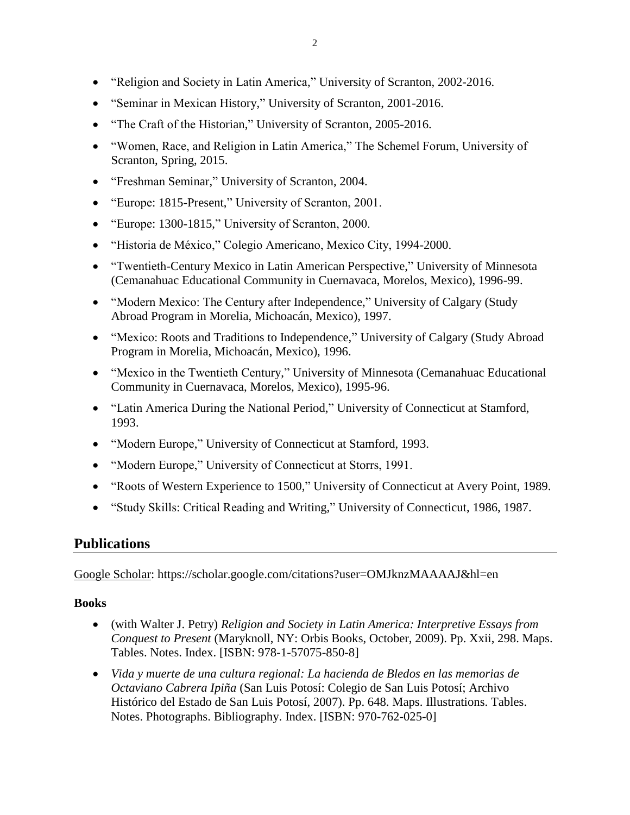- "Seminar in Mexican History," University of Scranton, 2001-2016.
- "The Craft of the Historian," University of Scranton, 2005-2016.
- "Women, Race, and Religion in Latin America," The Schemel Forum, University of Scranton, Spring, 2015.
- "Freshman Seminar," University of Scranton, 2004.
- "Europe: 1815-Present," University of Scranton, 2001.
- "Europe: 1300-1815," University of Scranton, 2000.
- "Historia de México," Colegio Americano, Mexico City, 1994-2000.
- "Twentieth-Century Mexico in Latin American Perspective," University of Minnesota (Cemanahuac Educational Community in Cuernavaca, Morelos, Mexico), 1996-99.
- "Modern Mexico: The Century after Independence," University of Calgary (Study Abroad Program in Morelia, Michoacán, Mexico), 1997.
- "Mexico: Roots and Traditions to Independence," University of Calgary (Study Abroad Program in Morelia, Michoacán, Mexico), 1996.
- "Mexico in the Twentieth Century," University of Minnesota (Cemanahuac Educational Community in Cuernavaca, Morelos, Mexico), 1995-96.
- "Latin America During the National Period," University of Connecticut at Stamford, 1993.
- "Modern Europe," University of Connecticut at Stamford, 1993.
- "Modern Europe," University of Connecticut at Storrs, 1991.
- "Roots of Western Experience to 1500," University of Connecticut at Avery Point, 1989.
- "Study Skills: Critical Reading and Writing," University of Connecticut, 1986, 1987.

## **Publications**

Google Scholar: https://scholar.google.com/citations?user=OMJknzMAAAAJ&hl=en

#### **Books**

- (with Walter J. Petry) *Religion and Society in Latin America: Interpretive Essays from Conquest to Present* (Maryknoll, NY: Orbis Books, October, 2009). Pp. Xxii, 298. Maps. Tables. Notes. Index. [ISBN: 978-1-57075-850-8]
- *Vida y muerte de una cultura regional: La hacienda de Bledos en las memorias de Octaviano Cabrera Ipiña* (San Luis Potosí: Colegio de San Luis Potosí; Archivo Histórico del Estado de San Luis Potosí, 2007). Pp. 648. Maps. Illustrations. Tables. Notes. Photographs. Bibliography. Index. [ISBN: 970-762-025-0]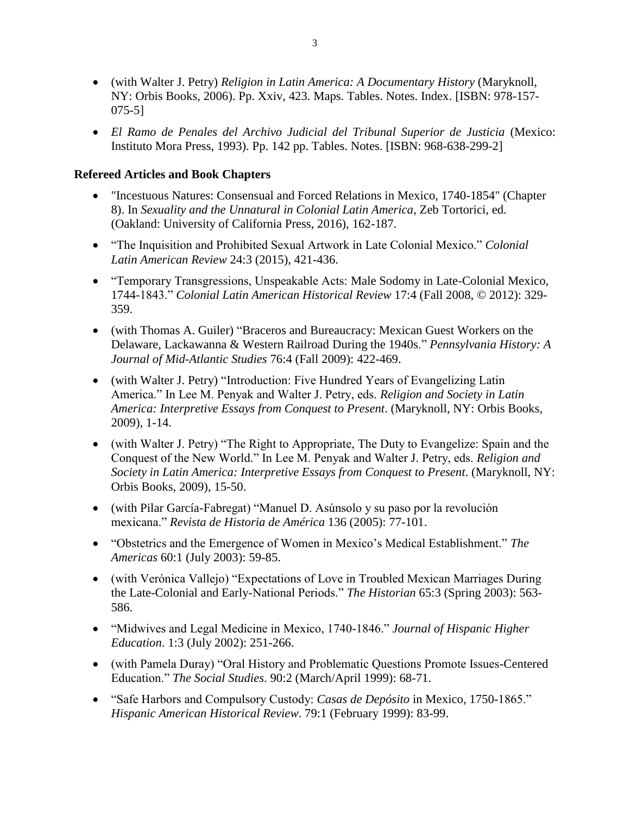- (with Walter J. Petry) *Religion in Latin America: A Documentary History* (Maryknoll, NY: Orbis Books, 2006). Pp. Xxiv, 423. Maps. Tables. Notes. Index. [ISBN: 978-157- 075-5]
- *El Ramo de Penales del Archivo Judicial del Tribunal Superior de Justicia* (Mexico: Instituto Mora Press, 1993). Pp. 142 pp. Tables. Notes. [ISBN: 968-638-299-2]

#### **Refereed Articles and Book Chapters**

- "Incestuous Natures: Consensual and Forced Relations in Mexico, 1740-1854" (Chapter 8). In *Sexuality and the Unnatural in Colonial Latin America*, Zeb Tortorici, ed. (Oakland: University of California Press, 2016), 162-187.
- "The Inquisition and Prohibited Sexual Artwork in Late Colonial Mexico." *Colonial Latin American Review* 24:3 (2015), 421-436.
- "Temporary Transgressions, Unspeakable Acts: Male Sodomy in Late-Colonial Mexico, 1744-1843." *Colonial Latin American Historical Review* 17:4 (Fall 2008, © 2012): 329- 359.
- (with Thomas A. Guiler) "Braceros and Bureaucracy: Mexican Guest Workers on the Delaware, Lackawanna & Western Railroad During the 1940s." *Pennsylvania History: A Journal of Mid-Atlantic Studies* 76:4 (Fall 2009): 422-469.
- (with Walter J. Petry) "Introduction: Five Hundred Years of Evangelizing Latin America." In Lee M. Penyak and Walter J. Petry, eds. *Religion and Society in Latin America: Interpretive Essays from Conquest to Present*. (Maryknoll, NY: Orbis Books, 2009), 1-14.
- (with Walter J. Petry) "The Right to Appropriate, The Duty to Evangelize: Spain and the Conquest of the New World." In Lee M. Penyak and Walter J. Petry, eds. *Religion and Society in Latin America: Interpretive Essays from Conquest to Present*. (Maryknoll, NY: Orbis Books, 2009), 15-50.
- (with Pilar García-Fabregat) "Manuel D. Asúnsolo y su paso por la revolución mexicana." *Revista de Historia de América* 136 (2005): 77-101.
- "Obstetrics and the Emergence of Women in Mexico's Medical Establishment." *The Americas* 60:1 (July 2003): 59-85.
- (with Verónica Vallejo) "Expectations of Love in Troubled Mexican Marriages During the Late-Colonial and Early-National Periods." *The Historian* 65:3 (Spring 2003): 563- 586.
- "Midwives and Legal Medicine in Mexico, 1740-1846." *Journal of Hispanic Higher Education*. 1:3 (July 2002): 251-266.
- (with Pamela Duray) "Oral History and Problematic Questions Promote Issues-Centered Education." *The Social Studies*. 90:2 (March/April 1999): 68-71.
- "Safe Harbors and Compulsory Custody: *Casas de Depósito* in Mexico, 1750-1865." *Hispanic American Historical Review*. 79:1 (February 1999): 83-99.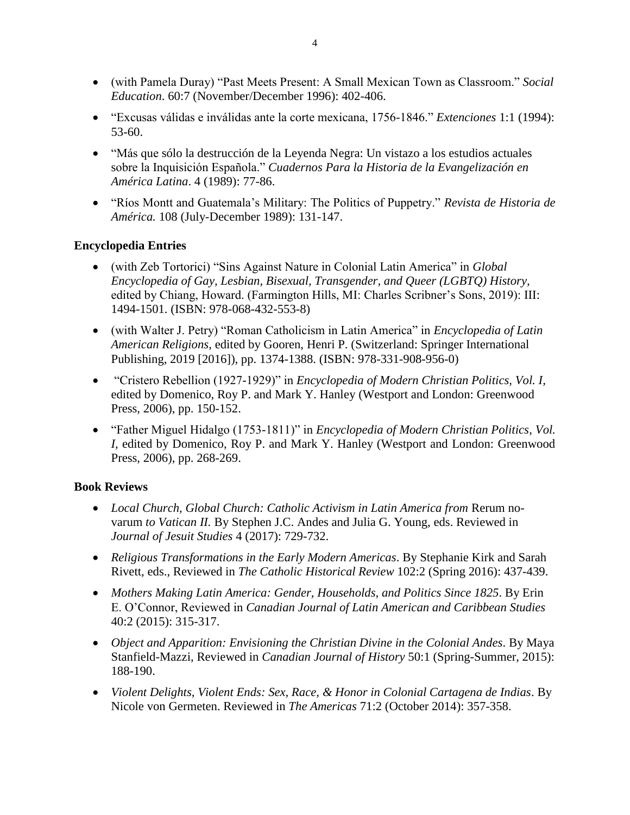- (with Pamela Duray) "Past Meets Present: A Small Mexican Town as Classroom." *Social Education*. 60:7 (November/December 1996): 402-406.
- "Excusas válidas e inválidas ante la corte mexicana, 1756-1846." *Extenciones* 1:1 (1994): 53-60.
- "Más que sólo la destrucción de la Leyenda Negra: Un vistazo a los estudios actuales sobre la Inquisición Española." *Cuadernos Para la Historia de la Evangelización en América Latina*. 4 (1989): 77-86.
- "Ríos Montt and Guatemala's Military: The Politics of Puppetry." *Revista de Historia de América.* 108 (July-December 1989): 131-147.

#### **Encyclopedia Entries**

- (with Zeb Tortorici) "Sins Against Nature in Colonial Latin America" in *Global Encyclopedia of Gay, Lesbian, Bisexual, Transgender, and Queer (LGBTQ) History,*  edited by Chiang, Howard. (Farmington Hills, MI: Charles Scribner's Sons, 2019): III: 1494-1501. (ISBN: 978-068-432-553-8)
- (with Walter J. Petry) "Roman Catholicism in Latin America" in *Encyclopedia of Latin American Religions*, edited by Gooren, Henri P. (Switzerland: Springer International Publishing, 2019 [2016]), pp. 1374-1388. (ISBN: 978-331-908-956-0)
- "Cristero Rebellion (1927-1929)" in *Encyclopedia of Modern Christian Politics, Vol. I,* edited by Domenico, Roy P. and Mark Y. Hanley (Westport and London: Greenwood Press, 2006), pp. 150-152.
- "Father Miguel Hidalgo (1753-1811)" in *Encyclopedia of Modern Christian Politics*, *Vol. I,* edited by Domenico, Roy P. and Mark Y. Hanley (Westport and London: Greenwood Press, 2006), pp. 268-269.

#### **Book Reviews**

- Local Church, Global Church: Catholic Activism in Latin America from Rerum novarum *to Vatican II.* By Stephen J.C. Andes and Julia G. Young, eds. Reviewed in *Journal of Jesuit Studies* 4 (2017): 729-732.
- *Religious Transformations in the Early Modern Americas*. By Stephanie Kirk and Sarah Rivett, eds., Reviewed in *The Catholic Historical Review* 102:2 (Spring 2016): 437-439.
- *Mothers Making Latin America: Gender, Households, and Politics Since 1825*. By Erin E. O'Connor, Reviewed in *Canadian Journal of Latin American and Caribbean Studies* 40:2 (2015): 315-317.
- *Object and Apparition: Envisioning the Christian Divine in the Colonial Andes*. By Maya Stanfield-Mazzi, Reviewed in *Canadian Journal of History* 50:1 (Spring-Summer, 2015): 188-190.
- *Violent Delights, Violent Ends: Sex, Race, & Honor in Colonial Cartagena de Indias*. By Nicole von Germeten. Reviewed in *The Americas* 71:2 (October 2014): 357-358.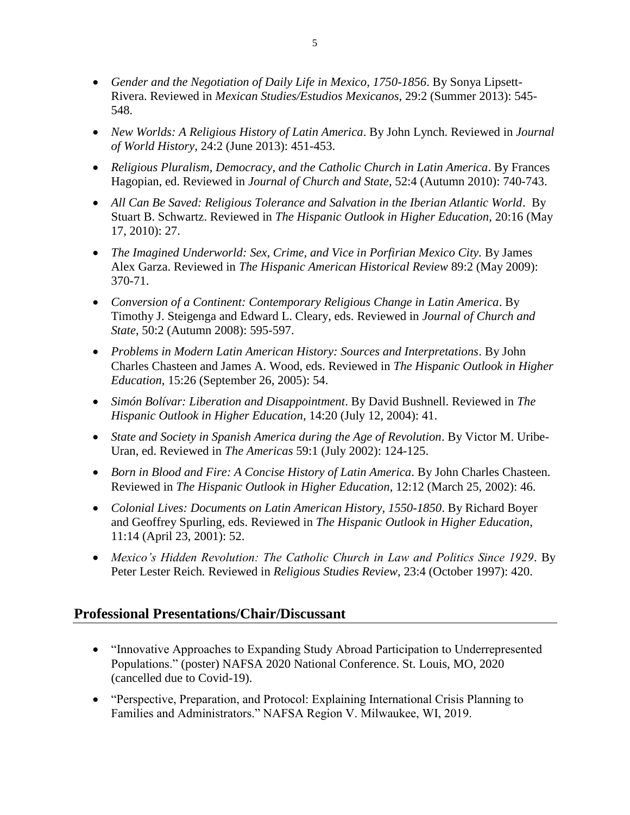- *Gender and the Negotiation of Daily Life in Mexico, 1750-1856*. By Sonya Lipsett-Rivera. Reviewed in *Mexican Studies/Estudios Mexicanos*, 29:2 (Summer 2013): 545- 548.
- *New Worlds: A Religious History of Latin America*. By John Lynch. Reviewed in *Journal of World History*, 24:2 (June 2013): 451-453.
- *Religious Pluralism, Democracy, and the Catholic Church in Latin America*. By Frances Hagopian, ed. Reviewed in *Journal of Church and State*, 52:4 (Autumn 2010): 740-743.
- All Can Be Saved: Religious Tolerance and Salvation in the Iberian Atlantic World. By Stuart B. Schwartz. Reviewed in *The Hispanic Outlook in Higher Education*, 20:16 (May 17, 2010): 27.
- *The Imagined Underworld: Sex, Crime, and Vice in Porfirian Mexico City.* By James Alex Garza. Reviewed in *The Hispanic American Historical Review* 89:2 (May 2009): 370-71.
- *Conversion of a Continent: Contemporary Religious Change in Latin America*. By Timothy J. Steigenga and Edward L. Cleary, eds. Reviewed in *Journal of Church and State*, 50:2 (Autumn 2008): 595-597.
- *Problems in Modern Latin American History: Sources and Interpretations*. By John Charles Chasteen and James A. Wood, eds. Reviewed in *The Hispanic Outlook in Higher Education*, 15:26 (September 26, 2005): 54.
- *Simón Bolívar: Liberation and Disappointment*. By David Bushnell. Reviewed in *The Hispanic Outlook in Higher Education*, 14:20 (July 12, 2004): 41.
- *State and Society in Spanish America during the Age of Revolution*. By Victor M. Uribe-Uran, ed. Reviewed in *The Americas* 59:1 (July 2002): 124-125.
- *Born in Blood and Fire: A Concise History of Latin America*. By John Charles Chasteen. Reviewed in *The Hispanic Outlook in Higher Education*, 12:12 (March 25, 2002): 46.
- *Colonial Lives: Documents on Latin American History, 1550-1850*. By Richard Boyer and Geoffrey Spurling, eds. Reviewed in *The Hispanic Outlook in Higher Education*, 11:14 (April 23, 2001): 52.
- *Mexico's Hidden Revolution: The Catholic Church in Law and Politics Since 1929*. By Peter Lester Reich*.* Reviewed in *Religious Studies Review*, 23:4 (October 1997): 420.

## **Professional Presentations/Chair/Discussant**

- "Innovative Approaches to Expanding Study Abroad Participation to Underrepresented Populations." (poster) NAFSA 2020 National Conference. St. Louis, MO, 2020 (cancelled due to Covid-19).
- "Perspective, Preparation, and Protocol: Explaining International Crisis Planning to Families and Administrators." NAFSA Region V. Milwaukee, WI, 2019.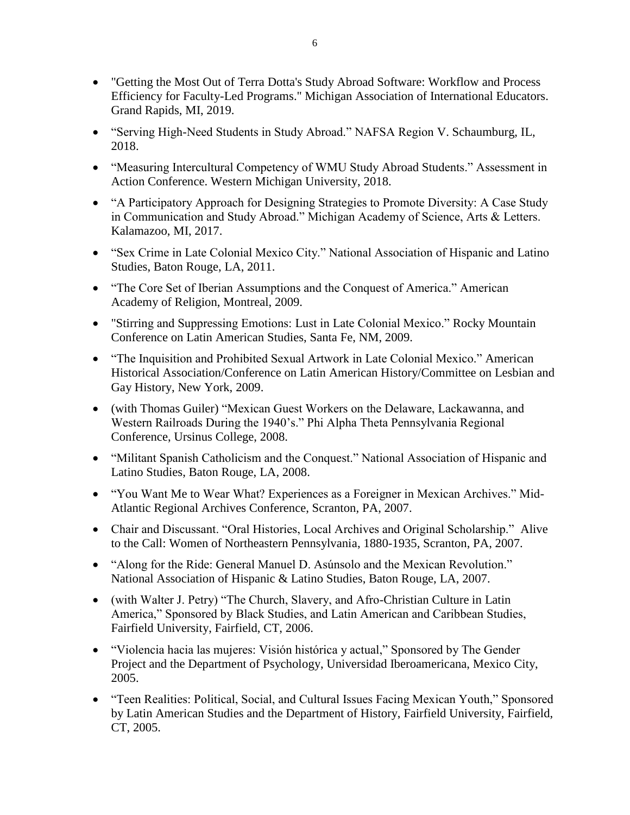- "Getting the Most Out of Terra Dotta's Study Abroad Software: Workflow and Process Efficiency for Faculty-Led Programs." Michigan Association of International Educators. Grand Rapids, MI, 2019.
- "Serving High-Need Students in Study Abroad." NAFSA Region V. Schaumburg, IL, 2018.
- "Measuring Intercultural Competency of WMU Study Abroad Students." Assessment in Action Conference. Western Michigan University, 2018.
- "A Participatory Approach for Designing Strategies to Promote Diversity: A Case Study in Communication and Study Abroad." Michigan Academy of Science, Arts & Letters. Kalamazoo, MI, 2017.
- "Sex Crime in Late Colonial Mexico City." National Association of Hispanic and Latino Studies, Baton Rouge, LA, 2011.
- "The Core Set of Iberian Assumptions and the Conquest of America." American Academy of Religion, Montreal, 2009.
- "Stirring and Suppressing Emotions: Lust in Late Colonial Mexico." Rocky Mountain Conference on Latin American Studies, Santa Fe, NM, 2009.
- "The Inquisition and Prohibited Sexual Artwork in Late Colonial Mexico." American Historical Association/Conference on Latin American History/Committee on Lesbian and Gay History, New York, 2009.
- (with Thomas Guiler) "Mexican Guest Workers on the Delaware, Lackawanna, and Western Railroads During the 1940's." Phi Alpha Theta Pennsylvania Regional Conference, Ursinus College, 2008.
- "Militant Spanish Catholicism and the Conquest." National Association of Hispanic and Latino Studies, Baton Rouge, LA, 2008.
- "You Want Me to Wear What? Experiences as a Foreigner in Mexican Archives." Mid-Atlantic Regional Archives Conference, Scranton, PA, 2007.
- Chair and Discussant. "Oral Histories, Local Archives and Original Scholarship." Alive to the Call: Women of Northeastern Pennsylvania, 1880-1935, Scranton, PA, 2007.
- "Along for the Ride: General Manuel D. Asúnsolo and the Mexican Revolution." National Association of Hispanic & Latino Studies, Baton Rouge, LA, 2007.
- (with Walter J. Petry) "The Church, Slavery, and Afro-Christian Culture in Latin America," Sponsored by Black Studies, and Latin American and Caribbean Studies, Fairfield University, Fairfield, CT, 2006.
- "Violencia hacia las mujeres: Visión histórica y actual," Sponsored by The Gender Project and the Department of Psychology, Universidad Iberoamericana, Mexico City, 2005.
- "Teen Realities: Political, Social, and Cultural Issues Facing Mexican Youth," Sponsored by Latin American Studies and the Department of History, Fairfield University, Fairfield, CT, 2005.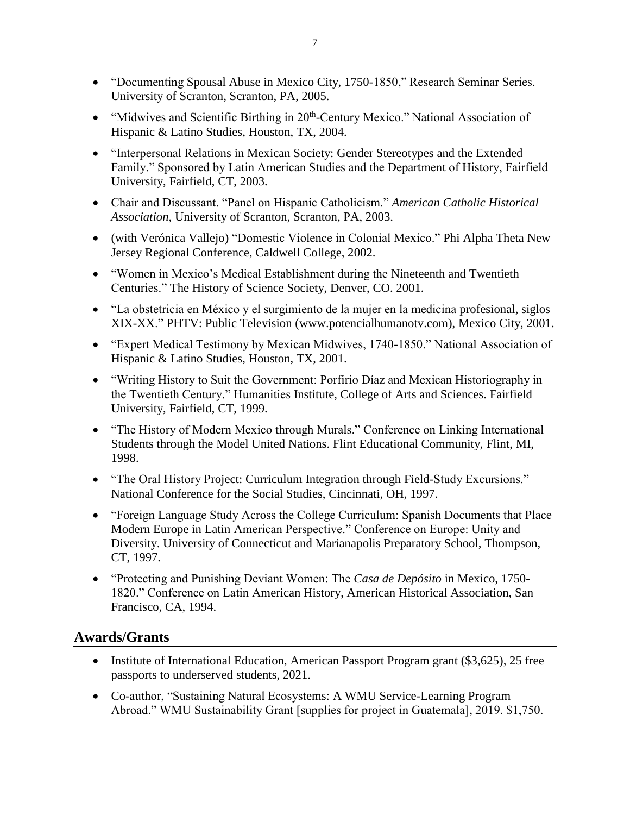- "Documenting Spousal Abuse in Mexico City, 1750-1850," Research Seminar Series. University of Scranton, Scranton, PA, 2005.
- "Midwives and Scientific Birthing in 20<sup>th</sup>-Century Mexico." National Association of Hispanic & Latino Studies, Houston, TX, 2004.
- "Interpersonal Relations in Mexican Society: Gender Stereotypes and the Extended Family." Sponsored by Latin American Studies and the Department of History, Fairfield University, Fairfield, CT, 2003.
- Chair and Discussant. "Panel on Hispanic Catholicism." *American Catholic Historical Association*, University of Scranton, Scranton, PA, 2003.
- (with Verónica Vallejo) "Domestic Violence in Colonial Mexico." Phi Alpha Theta New Jersey Regional Conference, Caldwell College, 2002.
- "Women in Mexico's Medical Establishment during the Nineteenth and Twentieth Centuries." The History of Science Society, Denver, CO. 2001.
- "La obstetricia en México y el surgimiento de la mujer en la medicina profesional, siglos XIX-XX." PHTV: Public Television (www.potencialhumanotv.com), Mexico City, 2001.
- "Expert Medical Testimony by Mexican Midwives, 1740-1850." National Association of Hispanic & Latino Studies, Houston, TX, 2001.
- "Writing History to Suit the Government: Porfirio Díaz and Mexican Historiography in the Twentieth Century." Humanities Institute, College of Arts and Sciences. Fairfield University, Fairfield, CT, 1999.
- "The History of Modern Mexico through Murals." Conference on Linking International Students through the Model United Nations. Flint Educational Community, Flint, MI, 1998.
- "The Oral History Project: Curriculum Integration through Field-Study Excursions." National Conference for the Social Studies, Cincinnati, OH, 1997.
- "Foreign Language Study Across the College Curriculum: Spanish Documents that Place Modern Europe in Latin American Perspective." Conference on Europe: Unity and Diversity. University of Connecticut and Marianapolis Preparatory School, Thompson, CT, 1997.
- "Protecting and Punishing Deviant Women: The *Casa de Depósito* in Mexico, 1750- 1820." Conference on Latin American History, American Historical Association, San Francisco, CA, 1994.

## **Awards/Grants**

- Institute of International Education, American Passport Program grant (\$3,625), 25 free passports to underserved students, 2021.
- Co-author, "Sustaining Natural Ecosystems: A WMU Service-Learning Program Abroad." WMU Sustainability Grant [supplies for project in Guatemala], 2019. \$1,750.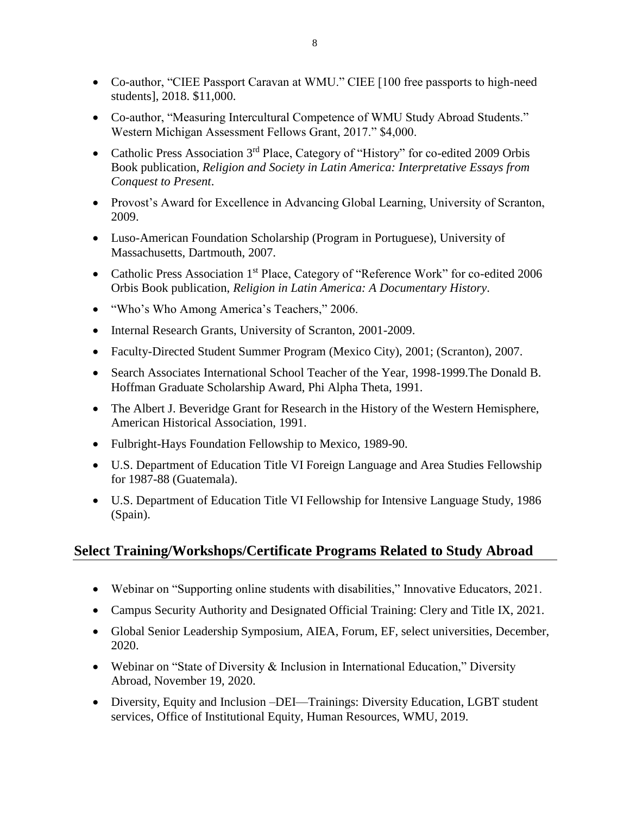- Co-author, "CIEE Passport Caravan at WMU." CIEE [100 free passports to high-need students], 2018. \$11,000.
- Co-author, "Measuring Intercultural Competence of WMU Study Abroad Students." Western Michigan Assessment Fellows Grant, 2017." \$4,000.
- Catholic Press Association 3<sup>rd</sup> Place, Category of "History" for co-edited 2009 Orbis Book publication, *Religion and Society in Latin America: Interpretative Essays from Conquest to Present*.
- Provost's Award for Excellence in Advancing Global Learning, University of Scranton, 2009.
- Luso-American Foundation Scholarship (Program in Portuguese), University of Massachusetts, Dartmouth, 2007.
- Catholic Press Association 1<sup>st</sup> Place, Category of "Reference Work" for co-edited 2006 Orbis Book publication, *Religion in Latin America: A Documentary History*.
- "Who's Who Among America's Teachers," 2006.
- Internal Research Grants, University of Scranton, 2001-2009.
- Faculty-Directed Student Summer Program (Mexico City), 2001; (Scranton), 2007.
- Search Associates International School Teacher of the Year, 1998-1999.The Donald B. Hoffman Graduate Scholarship Award, Phi Alpha Theta, 1991.
- The Albert J. Beveridge Grant for Research in the History of the Western Hemisphere, American Historical Association, 1991.
- Fulbright-Hays Foundation Fellowship to Mexico, 1989-90.
- U.S. Department of Education Title VI Foreign Language and Area Studies Fellowship for 1987-88 (Guatemala).
- U.S. Department of Education Title VI Fellowship for Intensive Language Study, 1986 (Spain).

## **Select Training/Workshops/Certificate Programs Related to Study Abroad**

- Webinar on "Supporting online students with disabilities," Innovative Educators, 2021.
- Campus Security Authority and Designated Official Training: Clery and Title IX, 2021.
- Global Senior Leadership Symposium, AIEA, Forum, EF, select universities, December, 2020.
- Webinar on "State of Diversity & Inclusion in International Education," Diversity Abroad, November 19, 2020.
- Diversity, Equity and Inclusion –DEI—Trainings: Diversity Education, LGBT student services, Office of Institutional Equity, Human Resources, WMU, 2019.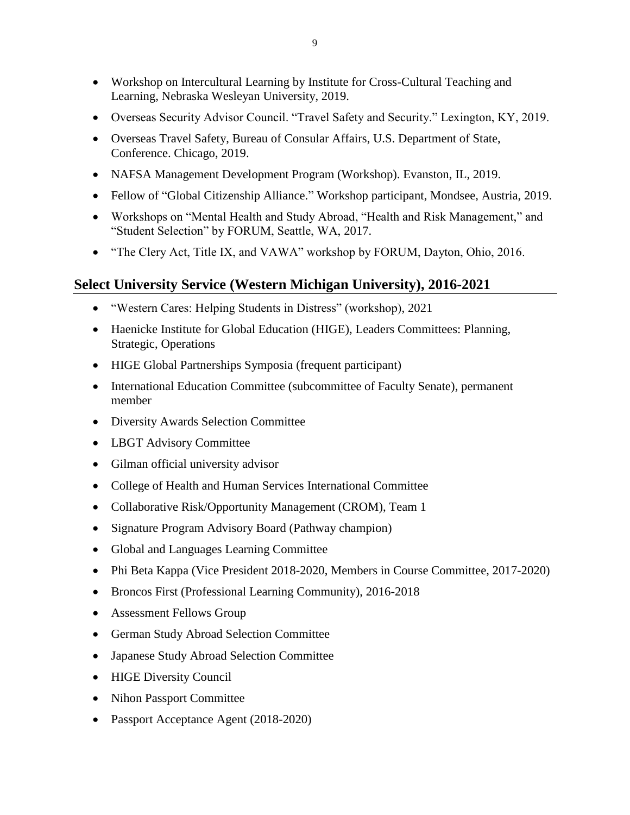- Workshop on Intercultural Learning by Institute for Cross-Cultural Teaching and Learning, Nebraska Wesleyan University, 2019.
- Overseas Security Advisor Council. "Travel Safety and Security." Lexington, KY, 2019.
- Overseas Travel Safety, Bureau of Consular Affairs, U.S. Department of State, Conference. Chicago, 2019.
- NAFSA Management Development Program (Workshop). Evanston, IL, 2019.
- Fellow of "Global Citizenship Alliance." Workshop participant, Mondsee, Austria, 2019.
- Workshops on "Mental Health and Study Abroad, "Health and Risk Management," and "Student Selection" by FORUM, Seattle, WA, 2017.
- "The Clery Act, Title IX, and VAWA" workshop by FORUM, Dayton, Ohio, 2016.

# **Select University Service (Western Michigan University), 2016-2021**

- "Western Cares: Helping Students in Distress" (workshop), 2021
- Haenicke Institute for Global Education (HIGE), Leaders Committees: Planning, Strategic, Operations
- HIGE Global Partnerships Symposia (frequent participant)
- International Education Committee (subcommittee of Faculty Senate), permanent member
- Diversity Awards Selection Committee
- LBGT Advisory Committee
- Gilman official university advisor
- College of Health and Human Services International Committee
- Collaborative Risk/Opportunity Management (CROM), Team 1
- Signature Program Advisory Board (Pathway champion)
- Global and Languages Learning Committee
- Phi Beta Kappa (Vice President 2018-2020, Members in Course Committee, 2017-2020)
- Broncos First (Professional Learning Community), 2016-2018
- Assessment Fellows Group
- German Study Abroad Selection Committee
- Japanese Study Abroad Selection Committee
- HIGE Diversity Council
- Nihon Passport Committee
- Passport Acceptance Agent (2018-2020)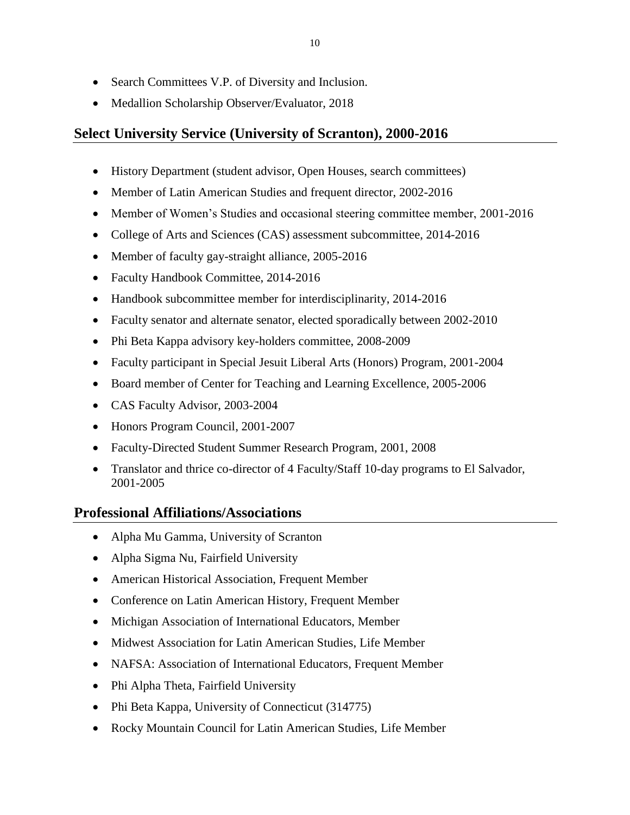• Medallion Scholarship Observer/Evaluator, 2018

## **Select University Service (University of Scranton), 2000-2016**

- History Department (student advisor, Open Houses, search committees)
- Member of Latin American Studies and frequent director, 2002-2016
- Member of Women's Studies and occasional steering committee member, 2001-2016
- College of Arts and Sciences (CAS) assessment subcommittee, 2014-2016
- Member of faculty gay-straight alliance, 2005-2016
- Faculty Handbook Committee, 2014-2016
- Handbook subcommittee member for interdisciplinarity, 2014-2016
- Faculty senator and alternate senator, elected sporadically between 2002-2010
- Phi Beta Kappa advisory key-holders committee, 2008-2009
- Faculty participant in Special Jesuit Liberal Arts (Honors) Program, 2001-2004
- Board member of Center for Teaching and Learning Excellence, 2005-2006
- CAS Faculty Advisor, 2003-2004
- Honors Program Council, 2001-2007
- Faculty-Directed Student Summer Research Program, 2001, 2008
- Translator and thrice co-director of 4 Faculty/Staff 10-day programs to El Salvador, 2001-2005

## **Professional Affiliations/Associations**

- Alpha Mu Gamma, University of Scranton
- Alpha Sigma Nu, Fairfield University
- American Historical Association, Frequent Member
- Conference on Latin American History, Frequent Member
- Michigan Association of International Educators, Member
- Midwest Association for Latin American Studies, Life Member
- NAFSA: Association of International Educators, Frequent Member
- Phi Alpha Theta, Fairfield University
- Phi Beta Kappa, University of Connecticut (314775)
- Rocky Mountain Council for Latin American Studies, Life Member